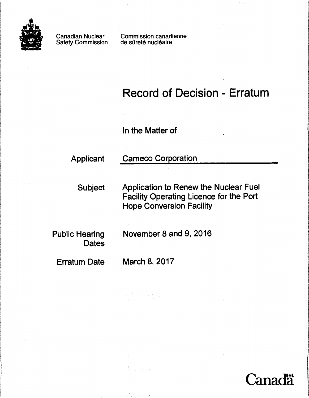

Canadian Nuclear Safety Commission

Commission canadienne de sûreté nucléaire

## Record of Decision - Erratum

In the Matter of

Applicant Cameco Corporation

Subject Application to Renew the Nuclear Fuel Facility Operating Licence for the Port Hope Conversion Facility

**Dates** 

Public Hearing November 8 and 9, 2016

Erratum Date March 8, 2017

, I, '